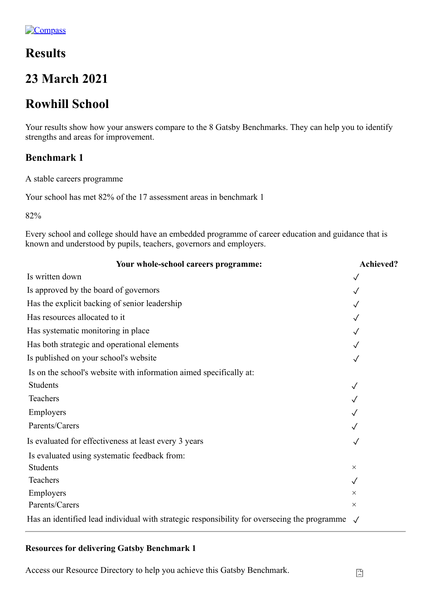# **Results**

# **23 March 2021**

# **Rowhill School**

Your results show how your answers compare to the 8 Gatsby Benchmarks. They can help you to identify strengths and areas for improvement.

# **Benchmark 1**

A stable careers programme

Your school has met 82% of the 17 assessment areas in benchmark 1

82%

Every school and college should have an embedded programme of career education and guidance that is known and understood by pupils, teachers, governors and employers.

| Your whole-school careers programme:                                                         | Achieved?    |
|----------------------------------------------------------------------------------------------|--------------|
| Is written down                                                                              |              |
| Is approved by the board of governors                                                        |              |
| Has the explicit backing of senior leadership                                                |              |
| Has resources allocated to it                                                                |              |
| Has systematic monitoring in place                                                           |              |
| Has both strategic and operational elements                                                  |              |
| Is published on your school's website                                                        |              |
| Is on the school's website with information aimed specifically at:                           |              |
| Students                                                                                     |              |
| Teachers                                                                                     |              |
| Employers                                                                                    |              |
| Parents/Carers                                                                               |              |
| Is evaluated for effectiveness at least every 3 years                                        |              |
| Is evaluated using systematic feedback from:                                                 |              |
| Students                                                                                     | $\times$     |
| Teachers                                                                                     | $\checkmark$ |
| Employers                                                                                    | $\times$     |
| Parents/Carers                                                                               | $\times$     |
| Has an identified lead individual with strategic responsibility for overseeing the programme |              |

## **Resources for delivering Gatsby Benchmark 1**

Access our Resource Directory to help you achieve this Gatsby Benchmark.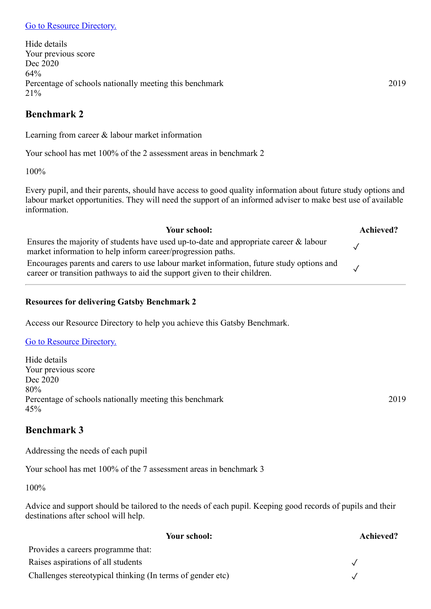Hide details Your previous score Dec 2020 64% Percentage of schools nationally meeting this benchmark 2019 21%

# **Benchmark 2**

Learning from career & labour market information

Your school has met 100% of the 2 assessment areas in benchmark 2

100%

Every pupil, and their parents, should have access to good quality information about future study options and labour market opportunities. They will need the support of an informed adviser to make best use of available information.

| Your school:                                                                                                                                                          | Achieved? |
|-----------------------------------------------------------------------------------------------------------------------------------------------------------------------|-----------|
| Ensures the majority of students have used up-to-date and appropriate career & labour<br>market information to help inform career/progression paths.                  |           |
| Encourages parents and carers to use labour market information, future study options and<br>career or transition pathways to aid the support given to their children. |           |

# **Resources for delivering Gatsby Benchmark 2**

Access our Resource Directory to help you achieve this Gatsby Benchmark.

## [Go to Resource Directory.](https://resources.careersandenterprise.co.uk/or-browse-resources/gatsby-benchmarks/gatsby-benchmark-2)

Hide details Your previous score Dec 2020 80% Percentage of schools nationally meeting this benchmark 2019 45%

# **Benchmark 3**

Addressing the needs of each pupil

Your school has met 100% of the 7 assessment areas in benchmark 3

100%

Advice and support should be tailored to the needs of each pupil. Keeping good records of pupils and their destinations after school will help.

| Your school:                                               | Achieved? |
|------------------------------------------------------------|-----------|
| Provides a careers programme that:                         |           |
| Raises aspirations of all students                         |           |
| Challenges stereotypical thinking (In terms of gender etc) |           |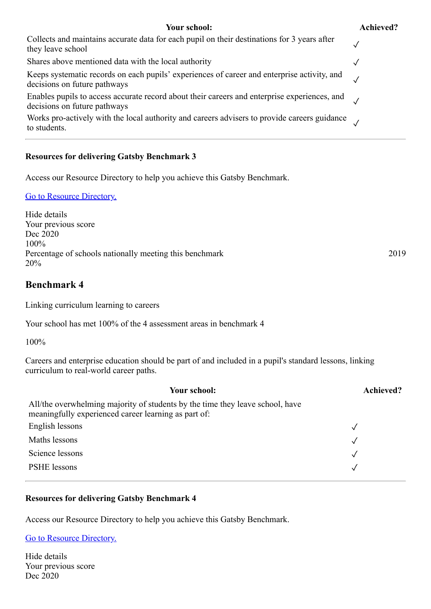#### **Your school: Achieved?**

| Collects and maintains accurate data for each pupil on their destinations for 3 years after<br>they leave school             |  |
|------------------------------------------------------------------------------------------------------------------------------|--|
| Shares above mentioned data with the local authority                                                                         |  |
| Keeps systematic records on each pupils' experiences of career and enterprise activity, and<br>decisions on future pathways  |  |
| Enables pupils to access accurate record about their careers and enterprise experiences, and<br>decisions on future pathways |  |
| Works pro-actively with the local authority and careers advisers to provide careers guidance<br>to students.                 |  |

#### **Resources for delivering Gatsby Benchmark 3**

Access our Resource Directory to help you achieve this Gatsby Benchmark.

#### [Go to Resource Directory.](https://resources.careersandenterprise.co.uk/or-browse-resources/gatsby-benchmarks/gatsby-benchmark-3)

Hide details Your previous score Dec 2020 100% Percentage of schools nationally meeting this benchmark 2019 20%

#### **Benchmark 4**

Linking curriculum learning to careers

Your school has met 100% of the 4 assessment areas in benchmark 4

100%

Careers and enterprise education should be part of and included in a pupil's standard lessons, linking curriculum to real-world career paths.

| Your school:                                                                                                                          | <b>Achieved?</b> |
|---------------------------------------------------------------------------------------------------------------------------------------|------------------|
| All/the overwhelming majority of students by the time they leave school, have<br>meaningfully experienced career learning as part of: |                  |
| English lessons                                                                                                                       |                  |
| Maths lessons                                                                                                                         | $\sqrt{ }$       |
| Science lessons                                                                                                                       | $\sqrt{ }$       |
| <b>PSHE</b> lessons                                                                                                                   |                  |

#### **Resources for delivering Gatsby Benchmark 4**

Access our Resource Directory to help you achieve this Gatsby Benchmark.

[Go to Resource Directory.](https://resources.careersandenterprise.co.uk/or-browse-resources/gatsby-benchmarks/gatsby-benchmark-4)

Hide details Your previous score Dec 2020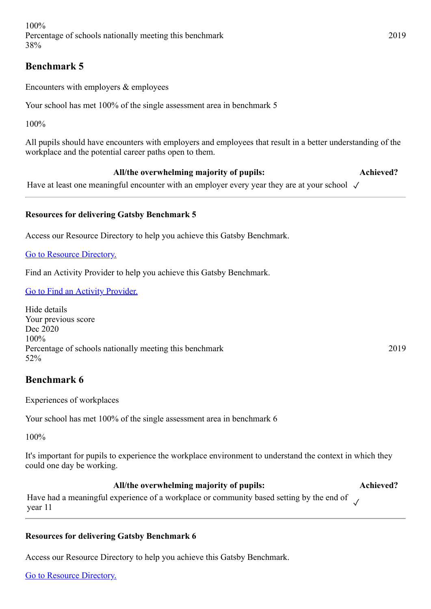100% Percentage of schools nationally meeting this benchmark 2019 38%

# **Benchmark 5**

Encounters with employers & employees

Your school has met 100% of the single assessment area in benchmark 5

100%

All pupils should have encounters with employers and employees that result in a better understanding of the workplace and the potential career paths open to them.

# **All/the overwhelming majority of pupils: Achieved?**

Have at least one meaningful encounter with an employer every year they are at your school  $\sqrt{ }$ 

## **Resources for delivering Gatsby Benchmark 5**

Access our Resource Directory to help you achieve this Gatsby Benchmark.

[Go to Resource Directory.](https://resources.careersandenterprise.co.uk/or-browse-resources/gatsby-benchmarks/gatsby-benchmark-5)

Find an Activity Provider to help you achieve this Gatsby Benchmark.

[Go to Find an Activity Provider.](https://www.careersandenterprise.co.uk/find-activity-provider)

Hide details Your previous score Dec 2020 100% Percentage of schools nationally meeting this benchmark 2019 52%

# **Benchmark 6**

Experiences of workplaces

Your school has met 100% of the single assessment area in benchmark 6

100%

It's important for pupils to experience the workplace environment to understand the context in which they could one day be working.

#### **All/the overwhelming majority of pupils: Achieved?**

Have had a meaningful experience of a workplace or community based setting by the end of  $\checkmark$ year 11

#### **Resources for delivering Gatsby Benchmark 6**

Access our Resource Directory to help you achieve this Gatsby Benchmark.

[Go to Resource Directory.](https://resources.careersandenterprise.co.uk/or-browse-resources/gatsby-benchmarks/gatsby-benchmark-6)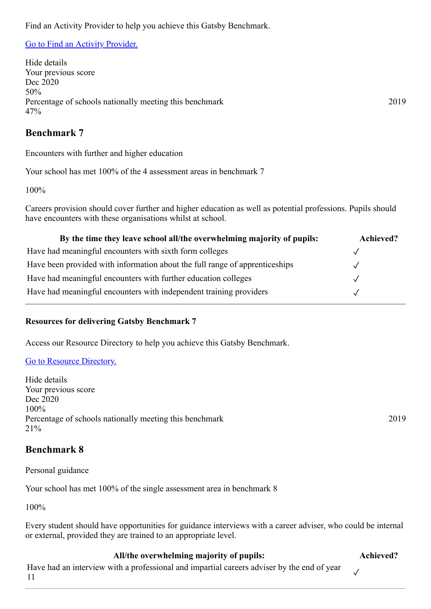Find an Activity Provider to help you achieve this Gatsby Benchmark.

#### [Go to Find an Activity Provider.](https://www.careersandenterprise.co.uk/find-activity-provider)

Hide details Your previous score Dec 2020 50% Percentage of schools nationally meeting this benchmark 2019 47%

# **Benchmark 7**

Encounters with further and higher education

Your school has met 100% of the 4 assessment areas in benchmark 7

100%

Careers provision should cover further and higher education as well as potential professions. Pupils should have encounters with these organisations whilst at school.

| By the time they leave school all/the overwhelming majority of pupils:      | Achieved? |
|-----------------------------------------------------------------------------|-----------|
| Have had meaningful encounters with sixth form colleges                     |           |
| Have been provided with information about the full range of apprenticeships |           |
| Have had meaningful encounters with further education colleges              |           |
| Have had meaningful encounters with independent training providers          |           |

#### **Resources for delivering Gatsby Benchmark 7**

Access our Resource Directory to help you achieve this Gatsby Benchmark.

#### [Go to Resource Directory.](https://resources.careersandenterprise.co.uk/or-browse-resources/gatsby-benchmarks/gatsby-benchmark-7)

Hide details Your previous score Dec 2020 100% Percentage of schools nationally meeting this benchmark 2019 21%

## **Benchmark 8**

Personal guidance

Your school has met 100% of the single assessment area in benchmark 8

100%

Every student should have opportunities for guidance interviews with a career adviser, who could be internal or external, provided they are trained to an appropriate level.

#### **All/the overwhelming majority of pupils: Achieved?**

✓

Have had an interview with a professional and impartial careers adviser by the end of year 11